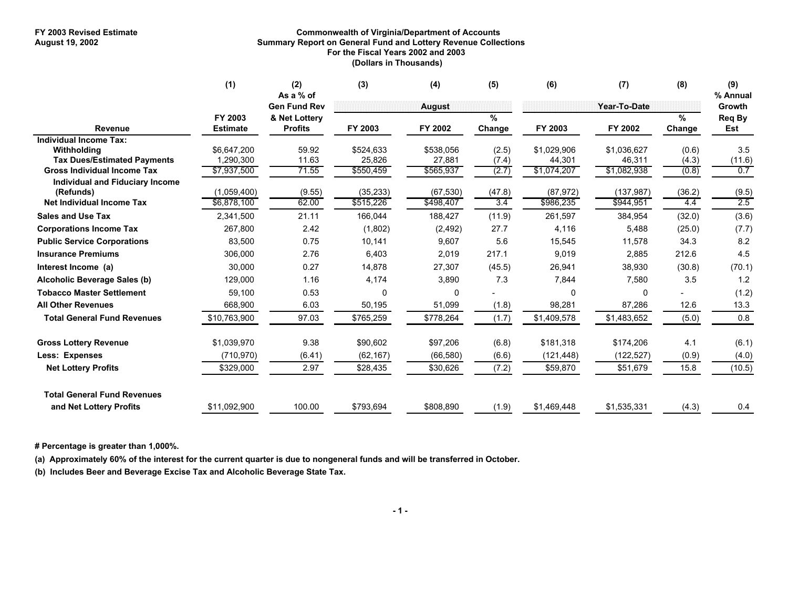### **FY 2003 Revised Estimate Commonwealth of Virginia/Department of Accounts Summary Report on General Fund and Lottery Revenue Collections For the Fiscal Years 2002 and 2003 (Dollars in Thousands)**

|                                              | (1)             | (2)                 | (3)       | (4)           | (5)    | (6)         | (7)          | (8)    | (9)      |
|----------------------------------------------|-----------------|---------------------|-----------|---------------|--------|-------------|--------------|--------|----------|
|                                              |                 | As a % of           |           |               |        |             |              |        | % Annual |
|                                              |                 | <b>Gen Fund Rev</b> |           | <b>August</b> |        |             | Year-To-Date |        | Growth   |
|                                              | FY 2003         | & Net Lottery       |           |               | %      |             |              | %      | Reg By   |
| Revenue                                      | <b>Estimate</b> | <b>Profits</b>      | FY 2003   | FY 2002       | Change | FY 2003     | FY 2002      | Change | Est      |
| <b>Individual Income Tax:</b><br>Withholding | \$6,647,200     | 59.92               | \$524,633 | \$538,056     | (2.5)  | \$1,029,906 | \$1,036,627  | (0.6)  | 3.5      |
| <b>Tax Dues/Estimated Payments</b>           | 1,290,300       | 11.63               | 25,826    | 27,881        | (7.4)  | 44,301      | 46,311       | (4.3)  | (11.6)   |
| <b>Gross Individual Income Tax</b>           | \$7,937,500     | 71.55               | \$550,459 | \$565,937     | (2.7)  | \$1,074,207 | \$1,082,938  | (0.8)  | 0.7      |
| <b>Individual and Fiduciary Income</b>       |                 |                     |           |               |        |             |              |        |          |
| (Refunds)                                    | (1,059,400)     | (9.55)              | (35, 233) | (67, 530)     | (47.8) | (87, 972)   | (137, 987)   | (36.2) | (9.5)    |
| Net Individual Income Tax                    | \$6,878,100     | 62.00               | \$515,226 | \$498,407     | 3.4    | \$986,235   | \$944,951    | 4.4    | 2.5      |
| <b>Sales and Use Tax</b>                     | 2,341,500       | 21.11               | 166,044   | 188.427       | (11.9) | 261,597     | 384,954      | (32.0) | (3.6)    |
| <b>Corporations Income Tax</b>               | 267,800         | 2.42                | (1,802)   | (2, 492)      | 27.7   | 4,116       | 5,488        | (25.0) | (7.7)    |
| <b>Public Service Corporations</b>           | 83,500          | 0.75                | 10,141    | 9,607         | 5.6    | 15,545      | 11,578       | 34.3   | 8.2      |
| <b>Insurance Premiums</b>                    | 306,000         | 2.76                | 6,403     | 2,019         | 217.1  | 9,019       | 2,885        | 212.6  | 4.5      |
| Interest Income (a)                          | 30,000          | 0.27                | 14,878    | 27,307        | (45.5) | 26,941      | 38,930       | (30.8) | (70.1)   |
| Alcoholic Beverage Sales (b)                 | 129,000         | 1.16                | 4,174     | 3,890         | 7.3    | 7,844       | 7,580        | 3.5    | 1.2      |
| <b>Tobacco Master Settlement</b>             | 59,100          | 0.53                | $\Omega$  | n             |        | 0           | $\Omega$     |        | (1.2)    |
| <b>All Other Revenues</b>                    | 668,900         | 6.03                | 50,195    | 51,099        | (1.8)  | 98,281      | 87,286       | 12.6   | 13.3     |
| <b>Total General Fund Revenues</b>           | \$10,763,900    | 97.03               | \$765,259 | \$778,264     | (1.7)  | \$1,409,578 | \$1,483,652  | (5.0)  | 0.8      |
| <b>Gross Lottery Revenue</b>                 | \$1,039,970     | 9.38                | \$90,602  | \$97,206      | (6.8)  | \$181,318   | \$174,206    | 4.1    | (6.1)    |
| Less: Expenses                               | (710, 970)      | (6.41)              | (62, 167) | (66, 580)     | (6.6)  | (121, 448)  | (122, 527)   | (0.9)  | (4.0)    |
| <b>Net Lottery Profits</b>                   | \$329,000       | 2.97                | \$28,435  | \$30,626      | (7.2)  | \$59,870    | \$51,679     | 15.8   | (10.5)   |
| <b>Total General Fund Revenues</b>           |                 |                     |           |               |        |             |              |        |          |
| and Net Lottery Profits                      | \$11,092,900    | 100.00              | \$793,694 | \$808.890     | (1.9)  | \$1,469,448 | \$1,535,331  | (4.3)  | 0.4      |

**# Percentage is greater than 1,000%.**

**(a) Approximately 60% of the interest for the current quarter is due to nongeneral funds and will be transferred in October.**

**(b) Includes Beer and Beverage Excise Tax and Alcoholic Beverage State Tax.**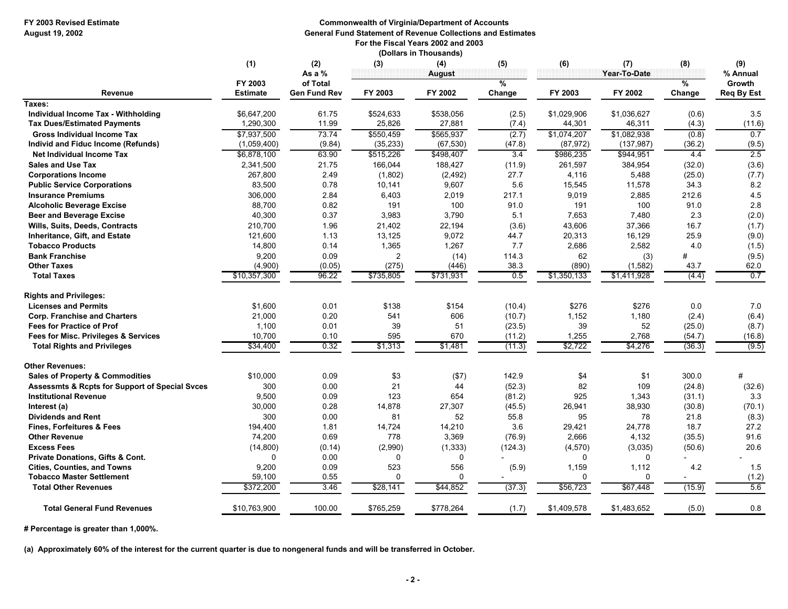### **FY 2003 Revised Estimate Commonwealth of Virginia/Department of Accounts August 19, 2002 General Fund Statement of Revenue Collections and Estimates For the Fiscal Years 2002 and 2003**

|                                                           |                            |                                 |                | (Dollars in Thousands) |                         |             |                     |             |                      |
|-----------------------------------------------------------|----------------------------|---------------------------------|----------------|------------------------|-------------------------|-------------|---------------------|-------------|----------------------|
|                                                           | (1)                        | (2)<br>As a $%$                 | (3)            | (4)<br><b>August</b>   | (5)                     | (6)         | (7)<br>Year-To-Date | (8)         | (9)<br>% Annual      |
| Revenue                                                   | FY 2003<br><b>Estimate</b> | of Total<br><b>Gen Fund Rev</b> | FY 2003        | FY 2002                | $\frac{9}{6}$<br>Change | FY 2003     | FY 2002             | %<br>Change | Growth<br>Req By Est |
| Taxes:                                                    |                            |                                 |                |                        |                         |             |                     |             |                      |
| Individual Income Tax - Withholding                       | \$6,647,200                | 61.75                           | \$524,633      | \$538,056              | (2.5)                   | \$1,029,906 | \$1,036,627         | (0.6)       | 3.5                  |
| <b>Tax Dues/Estimated Payments</b>                        | 1,290,300                  | 11.99                           | 25,826         | 27,881                 | (7.4)                   | 44,301      | 46,311              | (4.3)       | (11.6)               |
| <b>Gross Individual Income Tax</b>                        | \$7,937,500                | 73.74                           | \$550,459      | \$565,937              | (2.7)                   | \$1,074,207 | \$1,082,938         | (0.8)       | 0.7                  |
| Individ and Fiduc Income (Refunds)                        | (1,059,400)                | (9.84)                          | (35, 233)      | (67, 530)              | (47.8)                  | (87, 972)   | (137, 987)          | (36.2)      | (9.5)                |
| Net Individual Income Tax                                 | \$6,878,100                | 63.90                           | \$515,226      | \$498,407              | $\overline{3.4}$        | \$986,235   | \$944.951           | 4.4         | 2.5                  |
| <b>Sales and Use Tax</b>                                  | 2,341,500                  | 21.75                           | 166,044        | 188,427                | (11.9)                  | 261,597     | 384,954             | (32.0)      | (3.6)                |
| <b>Corporations Income</b>                                | 267,800                    | 2.49                            | (1,802)        | (2, 492)               | 27.7                    | 4,116       | 5,488               | (25.0)      | (7.7)                |
| <b>Public Service Corporations</b>                        | 83,500                     | 0.78                            | 10,141         | 9,607                  | 5.6                     | 15,545      | 11,578              | 34.3        | 8.2                  |
| <b>Insurance Premiums</b>                                 | 306,000                    | 2.84                            | 6,403          | 2,019                  | 217.1                   | 9,019       | 2,885               | 212.6       | 4.5                  |
| <b>Alcoholic Beverage Excise</b>                          | 88,700                     | 0.82                            | 191            | 100                    | 91.0                    | 191         | 100                 | 91.0        | 2.8                  |
| <b>Beer and Beverage Excise</b>                           | 40,300                     | 0.37                            | 3,983          | 3,790                  | 5.1                     | 7,653       | 7,480               | 2.3         | (2.0)                |
| <b>Wills, Suits, Deeds, Contracts</b>                     | 210,700                    | 1.96                            | 21,402         | 22,194                 | (3.6)                   | 43,606      | 37,366              | 16.7        | (1.7)                |
| Inheritance, Gift, and Estate                             | 121,600                    | 1.13                            | 13,125         | 9,072                  | 44.7                    | 20,313      | 16,129              | 25.9        | (9.0)                |
| <b>Tobacco Products</b>                                   | 14,800                     | 0.14                            | 1,365          | 1,267                  | 7.7                     | 2,686       | 2,582               | 4.0         | (1.5)                |
| <b>Bank Franchise</b>                                     | 9,200                      | 0.09                            | $\overline{2}$ | (14)                   | 114.3                   | 62          | (3)                 | #           | (9.5)                |
| <b>Other Taxes</b>                                        | (4,900)                    | (0.05)                          | (275)          | (446)                  | 38.3                    | (890)       | (1, 582)            | 43.7        | 62.0                 |
| <b>Total Taxes</b>                                        | \$10,357,300               | 96.22                           | \$735,805      | \$731,931              | 0.5                     | \$1,350,133 | \$1,411,928         | (4.4)       | 0.7                  |
| <b>Rights and Privileges:</b>                             |                            |                                 |                |                        |                         |             |                     |             |                      |
| <b>Licenses and Permits</b>                               | \$1,600                    | 0.01                            | \$138          | \$154                  | (10.4)                  | \$276       | \$276               | 0.0         | 7.0                  |
| <b>Corp. Franchise and Charters</b>                       | 21,000                     | 0.20                            | 541            | 606                    | (10.7)                  | 1,152       | 1,180               | (2.4)       | (6.4)                |
| <b>Fees for Practice of Prof</b>                          | 1,100                      | 0.01                            | 39             | 51                     | (23.5)                  | 39          | 52                  | (25.0)      | (8.7)                |
| Fees for Misc. Privileges & Services                      | 10,700                     | 0.10                            | 595            | 670                    | (11.2)                  | 1,255       | 2,768               | (54.7)      | (16.8)               |
| <b>Total Rights and Privileges</b>                        | \$34,400                   | 0.32                            | \$1,313        | \$1,481                | (11.3)                  | \$2,722     | \$4,276             | (36.3)      | (9.5)                |
| <b>Other Revenues:</b>                                    |                            |                                 |                |                        |                         |             |                     |             |                      |
| <b>Sales of Property &amp; Commodities</b>                | \$10,000                   | 0.09                            | \$3            | (\$7)                  | 142.9                   | \$4         | \$1                 | 300.0       | #                    |
| <b>Assessmts &amp; Rcpts for Support of Special Svces</b> | 300                        | 0.00                            | 21             | 44                     | (52.3)                  | 82          | 109                 | (24.8)      | (32.6)               |
| <b>Institutional Revenue</b>                              | 9,500                      | 0.09                            | 123            | 654                    | (81.2)                  | 925         | 1,343               | (31.1)      | 3.3                  |
| Interest (a)                                              | 30,000                     | 0.28                            | 14,878         | 27,307                 | (45.5)                  | 26,941      | 38,930              | (30.8)      | (70.1)               |
| <b>Dividends and Rent</b>                                 | 300                        | 0.00                            | 81             | 52                     | 55.8                    | 95          | 78                  | 21.8        | (8.3)                |
| <b>Fines, Forfeitures &amp; Fees</b>                      | 194,400                    | 1.81                            | 14,724         | 14,210                 | 3.6                     | 29,421      | 24,778              | 18.7        | 27.2                 |
| <b>Other Revenue</b>                                      | 74,200                     | 0.69                            | 778            | 3,369                  | (76.9)                  | 2,666       | 4,132               | (35.5)      | 91.6                 |
| <b>Excess Fees</b>                                        | (14, 800)                  | (0.14)                          | (2,990)        | (1, 333)               | (124.3)                 | (4, 570)    | (3,035)             | (50.6)      | 20.6                 |
| <b>Private Donations, Gifts &amp; Cont.</b>               | $\mathbf 0$                | 0.00                            | $\mathbf 0$    | 0                      |                         | 0           | 0                   |             |                      |
| <b>Cities, Counties, and Towns</b>                        | 9.200                      | 0.09                            | 523            | 556                    | (5.9)                   | 1,159       | 1,112               | 4.2         | 1.5                  |
| <b>Tobacco Master Settlement</b>                          | 59,100                     | 0.55                            | $\Omega$       | 0                      |                         | $\Omega$    | 0                   |             | (1.2)                |
| <b>Total Other Revenues</b>                               | \$372,200                  | 3.46                            | \$28,141       | \$44,852               | (37.3)                  | \$56,723    | \$67,448            | (15.9)      | 5.6                  |
| <b>Total General Fund Revenues</b>                        | \$10,763,900               | 100.00                          | \$765,259      | \$778,264              | (1.7)                   | \$1,409,578 | \$1,483,652         | (5.0)       | 0.8                  |

**# Percentage is greater than 1,000%.**

**(a) Approximately 60% of the interest for the current quarter is due to nongeneral funds and will be transferred in October.**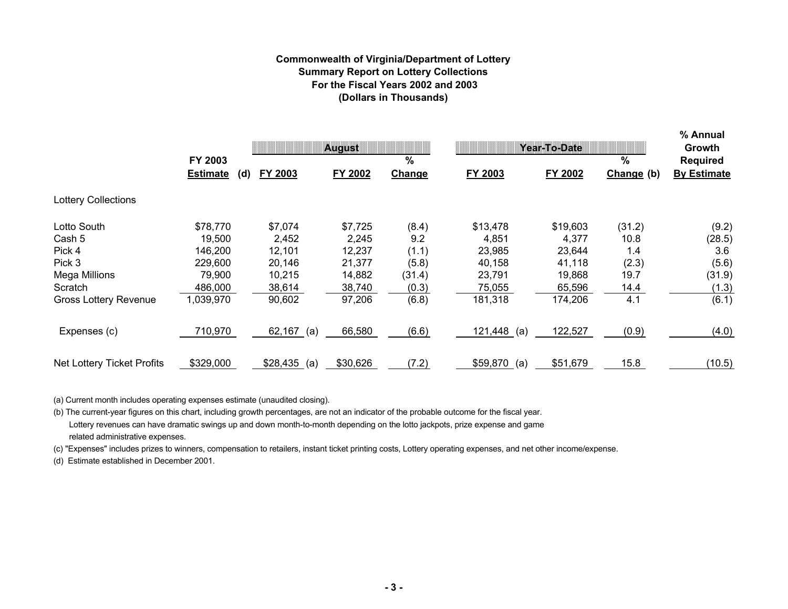## **Commonwealth of Virginia/Department of Lottery Summary Report on Lottery Collections For the Fiscal Years 2002 and 2003(Dollars in Thousands)**

|                              | FY 2003                |                 | <b>August</b><br>% |        | Year-To-Date    | % Annual<br>Growth<br><b>Required</b> |                    |                    |
|------------------------------|------------------------|-----------------|--------------------|--------|-----------------|---------------------------------------|--------------------|--------------------|
|                              | <b>Estimate</b><br>(d) | <b>FY 2003</b>  | FY 2002            | Change | FY 2003         | <b>FY 2002</b>                        | $\%$<br>Change (b) | <b>By Estimate</b> |
| <b>Lottery Collections</b>   |                        |                 |                    |        |                 |                                       |                    |                    |
| Lotto South                  | \$78,770               | \$7,074         | \$7,725            | (8.4)  | \$13,478        | \$19,603                              | (31.2)             | (9.2)              |
| Cash 5                       | 19,500                 | 2,452           | 2,245              | 9.2    | 4,851           | 4,377                                 | 10.8               | (28.5)             |
| Pick 4                       | 146,200                | 12,101          | 12,237             | (1.1)  | 23,985          | 23,644                                | 1.4                | 3.6                |
| Pick 3                       | 229,600                | 20,146          | 21,377             | (5.8)  | 40,158          | 41,118                                | (2.3)              | (5.6)              |
| Mega Millions                | 79,900                 | 10,215          | 14,882             | (31.4) | 23,791          | 19,868                                | 19.7               | (31.9)             |
| Scratch                      | 486,000                | 38,614          | 38,740             | (0.3)  | 75,055          | 65,596                                | 14.4               | (1.3)              |
| <b>Gross Lottery Revenue</b> | 1,039,970              | 90,602          | 97,206             | (6.8)  | 181,318         | 174,206                               | 4.1                | (6.1)              |
| Expenses (c)                 | 710,970                | $62,167$ (a)    | 66,580             | (6.6)  | 121,448<br>(a)  | 122,527                               | (0.9)              | (4.0)              |
| Net Lottery Ticket Profits   | \$329,000              | \$28,435<br>(a) | \$30,626           | (7.2)  | \$59,870<br>(a) | \$51,679                              | 15.8               | (10.5)             |

(a) Current month includes operating expenses estimate (unaudited closing).

(b) The current-year figures on this chart, including growth percentages, are not an indicator of the probable outcome for the fiscal year. Lottery revenues can have dramatic swings up and down month-to-month depending on the lotto jackpots, prize expense and game related administrative expenses.

(c) "Expenses" includes prizes to winners, compensation to retailers, instant ticket printing costs, Lottery operating expenses, and net other income/expense.

(d) Estimate established in December 2001.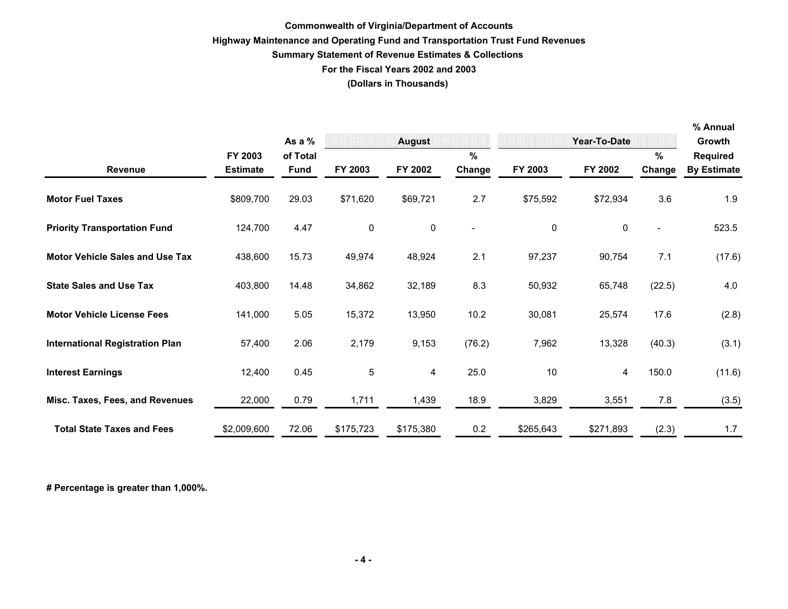## **Commonwealth of Virginia/Department of Accounts Highway Maintenance and Operating Fund and Transportation Trust Fund Revenues Summary Statement of Revenue Estimates & Collections For the Fiscal Years 2002 and 2003(Dollars in Thousands)**

|                                        |                            | As a %                  |           | <b>August</b> |                          |           | Year-To-Date |                          | % Annual<br>Growth                    |
|----------------------------------------|----------------------------|-------------------------|-----------|---------------|--------------------------|-----------|--------------|--------------------------|---------------------------------------|
| <b>Revenue</b>                         | FY 2003<br><b>Estimate</b> | of Total<br><b>Fund</b> | FY 2003   | FY 2002       | %<br>Change              | FY 2003   | FY 2002      | $\%$<br>Change           | <b>Required</b><br><b>By Estimate</b> |
| <b>Motor Fuel Taxes</b>                | \$809,700                  | 29.03                   | \$71,620  | \$69,721      | 2.7                      | \$75,592  | \$72,934     | 3.6                      | 1.9                                   |
| <b>Priority Transportation Fund</b>    | 124,700                    | 4.47                    | $\pmb{0}$ | 0             | $\overline{\phantom{a}}$ | 0         | $\mathbf 0$  | $\overline{\phantom{a}}$ | 523.5                                 |
| <b>Motor Vehicle Sales and Use Tax</b> | 438,600                    | 15.73                   | 49,974    | 48,924        | 2.1                      | 97,237    | 90,754       | 7.1                      | (17.6)                                |
| <b>State Sales and Use Tax</b>         | 403,800                    | 14.48                   | 34,862    | 32,189        | 8.3                      | 50,932    | 65,748       | (22.5)                   | 4.0                                   |
| <b>Motor Vehicle License Fees</b>      | 141,000                    | 5.05                    | 15,372    | 13,950        | 10.2                     | 30,081    | 25,574       | 17.6                     | (2.8)                                 |
| <b>International Registration Plan</b> | 57,400                     | 2.06                    | 2,179     | 9,153         | (76.2)                   | 7,962     | 13,328       | (40.3)                   | (3.1)                                 |
| <b>Interest Earnings</b>               | 12,400                     | 0.45                    | 5         | 4             | 25.0                     | 10        | 4            | 150.0                    | (11.6)                                |
| Misc. Taxes, Fees, and Revenues        | 22,000                     | 0.79                    | 1,711     | 1,439         | 18.9                     | 3,829     | 3,551        | 7.8                      | (3.5)                                 |
| <b>Total State Taxes and Fees</b>      | \$2,009,600                | 72.06                   | \$175,723 | \$175,380     | 0.2                      | \$265,643 | \$271,893    | (2.3)                    | 1.7                                   |

**# Percentage is greater than 1,000%.**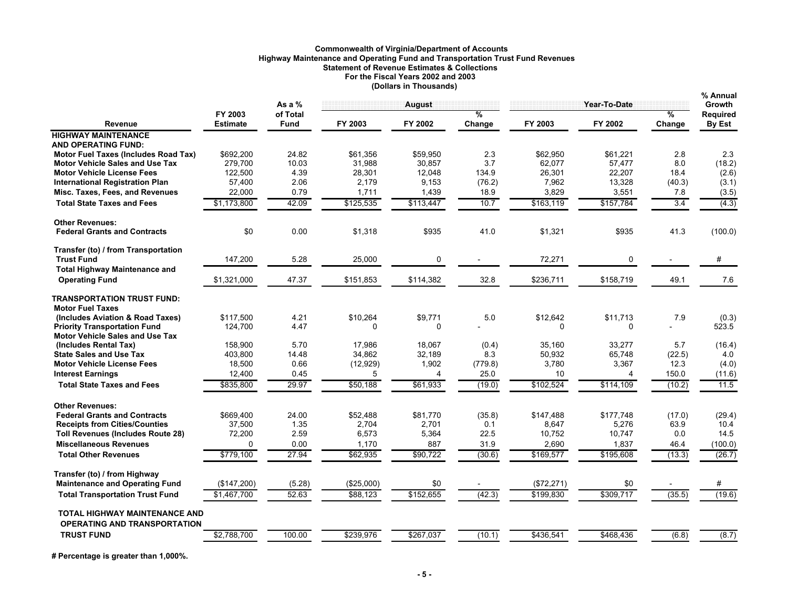# **Commonwealth of Virginia/Department of Accounts Highway Maintenance and Operating Fund and Transportation Trust Fund Revenues Statement of Revenue Estimates & Collections For the Fiscal Years 2002 and 2003 (Dollars in Thousands)**

|                                                                             |                            |                         |                |                 |                         |                 | % Annual        |                |                           |
|-----------------------------------------------------------------------------|----------------------------|-------------------------|----------------|-----------------|-------------------------|-----------------|-----------------|----------------|---------------------------|
|                                                                             |                            | As a $%$                |                | <b>August</b>   |                         |                 | Year-To-Date    |                | <b>Growth</b>             |
| Revenue                                                                     | FY 2003<br><b>Estimate</b> | of Total<br><b>Fund</b> | FY 2003        | FY 2002         | $\frac{9}{6}$<br>Change | FY 2003         | FY 2002         | %<br>Change    | <b>Required</b><br>By Est |
| <b>HIGHWAY MAINTENANCE</b><br><b>AND OPERATING FUND:</b>                    |                            |                         |                |                 |                         |                 |                 |                |                           |
| <b>Motor Fuel Taxes (Includes Road Tax)</b>                                 | \$692,200                  | 24.82                   | \$61,356       | \$59,950        | 2.3                     | \$62,950        | \$61,221        | 2.8            | 2.3                       |
| <b>Motor Vehicle Sales and Use Tax</b>                                      | 279,700                    | 10.03                   | 31.988         | 30.857          | 3.7                     | 62.077          | 57.477          | 8.0            | (18.2)                    |
| <b>Motor Vehicle License Fees</b>                                           | 122,500                    | 4.39                    | 28,301         | 12,048          | 134.9                   | 26,301          | 22,207          | 18.4           | (2.6)                     |
| <b>International Registration Plan</b>                                      | 57,400                     | 2.06                    | 2,179          | 9,153           | (76.2)                  | 7,962           | 13,328          | (40.3)         | (3.1)                     |
| Misc. Taxes, Fees, and Revenues                                             | 22,000                     | 0.79                    | 1,711          | 1,439           | 18.9                    | 3,829           | 3,551           | 7.8            | (3.5)                     |
| <b>Total State Taxes and Fees</b>                                           | \$1,173,800                | 42.09                   | \$125,535      | \$113,447       | 10.7                    | \$163,119       | \$157,784       | 3.4            | (4.3)                     |
| <b>Other Revenues:</b>                                                      |                            |                         |                |                 |                         |                 |                 |                |                           |
| <b>Federal Grants and Contracts</b>                                         | \$0                        | 0.00                    | \$1,318        | \$935           | 41.0                    | \$1,321         | \$935           | 41.3           | (100.0)                   |
| Transfer (to) / from Transportation                                         |                            |                         |                |                 |                         |                 |                 |                |                           |
| <b>Trust Fund</b>                                                           | 147,200                    | 5.28                    | 25,000         | 0               |                         | 72,271          | 0               |                | #                         |
| <b>Total Highway Maintenance and</b><br><b>Operating Fund</b>               | \$1,321,000                | 47.37                   | \$151,853      | \$114,382       | 32.8                    | \$236,711       | \$158,719       | 49.1           | 7.6                       |
| <b>TRANSPORTATION TRUST FUND:</b>                                           |                            |                         |                |                 |                         |                 |                 |                |                           |
| <b>Motor Fuel Taxes</b>                                                     |                            |                         |                |                 |                         |                 |                 |                |                           |
| (Includes Aviation & Road Taxes)                                            | \$117,500                  | 4.21                    | \$10,264       | \$9.771         | 5.0                     | \$12,642        | \$11,713        | 7.9            | (0.3)                     |
| <b>Priority Transportation Fund</b>                                         | 124,700                    | 4.47                    | $\Omega$       | $\mathbf 0$     |                         | $\mathbf{0}$    | $\mathbf{0}$    |                | 523.5                     |
| <b>Motor Vehicle Sales and Use Tax</b>                                      |                            |                         |                |                 |                         |                 |                 |                |                           |
| (Includes Rental Tax)                                                       | 158.900                    | 5.70                    | 17.986         | 18,067          | (0.4)                   | 35.160          | 33,277          | 5.7            | (16.4)                    |
| <b>State Sales and Use Tax</b><br><b>Motor Vehicle License Fees</b>         | 403,800<br>18,500          | 14.48<br>0.66           | 34,862         | 32,189<br>1,902 | 8.3                     | 50,932<br>3,780 | 65,748<br>3,367 | (22.5)<br>12.3 | 4.0<br>(4.0)              |
|                                                                             |                            | 0.45                    | (12, 929)<br>5 | 4               | (779.8)                 | 10              | 4               |                |                           |
| <b>Interest Earnings</b>                                                    | 12,400                     |                         |                |                 | 25.0                    |                 | \$114,109       | 150.0          | (11.6)                    |
| <b>Total State Taxes and Fees</b>                                           | \$835.800                  | 29.97                   | \$50,188       | \$61,933        | (19.0)                  | \$102,524       |                 | (10.2)         | 11.5                      |
| <b>Other Revenues:</b>                                                      |                            |                         |                |                 |                         |                 |                 |                |                           |
| <b>Federal Grants and Contracts</b>                                         | \$669,400                  | 24.00                   | \$52,488       | \$81,770        | (35.8)                  | \$147,488       | \$177,748       | (17.0)         | (29.4)                    |
| <b>Receipts from Cities/Counties</b>                                        | 37,500                     | 1.35                    | 2,704          | 2,701           | 0.1                     | 8,647           | 5,276           | 63.9           | 10.4                      |
| <b>Toll Revenues (Includes Route 28)</b>                                    | 72,200                     | 2.59                    | 6,573          | 5,364           | 22.5                    | 10,752          | 10,747          | 0.0            | 14.5                      |
| <b>Miscellaneous Revenues</b>                                               | $\Omega$                   | 0.00                    | 1,170          | 887             | 31.9                    | 2,690           | 1,837           | 46.4           | (100.0)                   |
| <b>Total Other Revenues</b>                                                 | \$779,100                  | 27.94                   | \$62,935       | \$90,722        | (30.6)                  | \$169,577       | \$195,608       | (13.3)         | (26.7)                    |
| Transfer (to) / from Highway                                                |                            |                         |                |                 |                         |                 |                 |                |                           |
| <b>Maintenance and Operating Fund</b>                                       | (\$147,200)                | (5.28)                  | (\$25,000)     | \$0             |                         | (\$72,271)      | \$0             |                | #                         |
| <b>Total Transportation Trust Fund</b>                                      | \$1,467,700                | 52.63                   | \$88,123       | \$152,655       | (42.3)                  | \$199,830       | \$309,717       | (35.5)         | (19.6)                    |
| <b>TOTAL HIGHWAY MAINTENANCE AND</b><br><b>OPERATING AND TRANSPORTATION</b> |                            |                         |                |                 |                         |                 |                 |                |                           |
| <b>TRUST FUND</b>                                                           | \$2,788,700                | 100.00                  | \$239,976      | \$267,037       | (10.1)                  | \$436,541       | \$468,436       | (6.8)          | (8.7)                     |
|                                                                             |                            |                         |                |                 |                         |                 |                 |                |                           |

**# Percentage is greater than 1,000%.**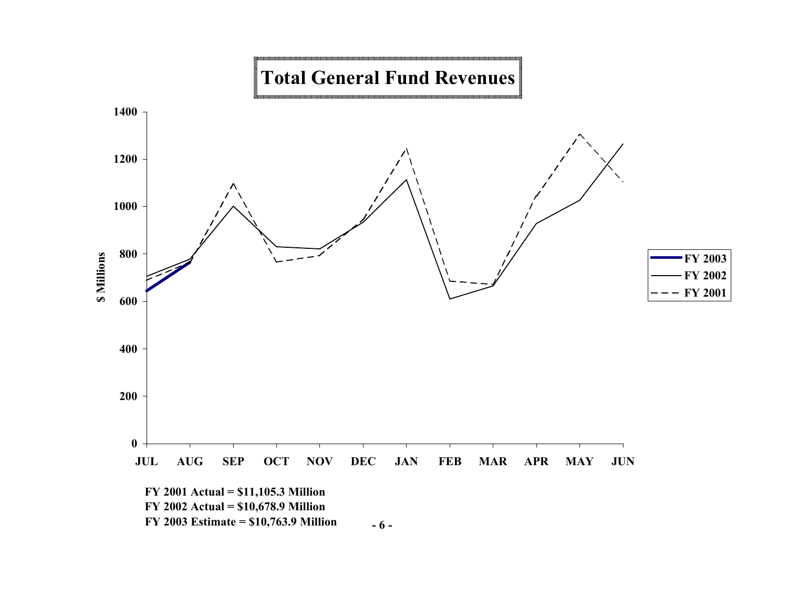#### <u> La componente de la componente de la componente de la componente de la componente de la componente de la compo</u> Г F **Total General Fund Revenues**

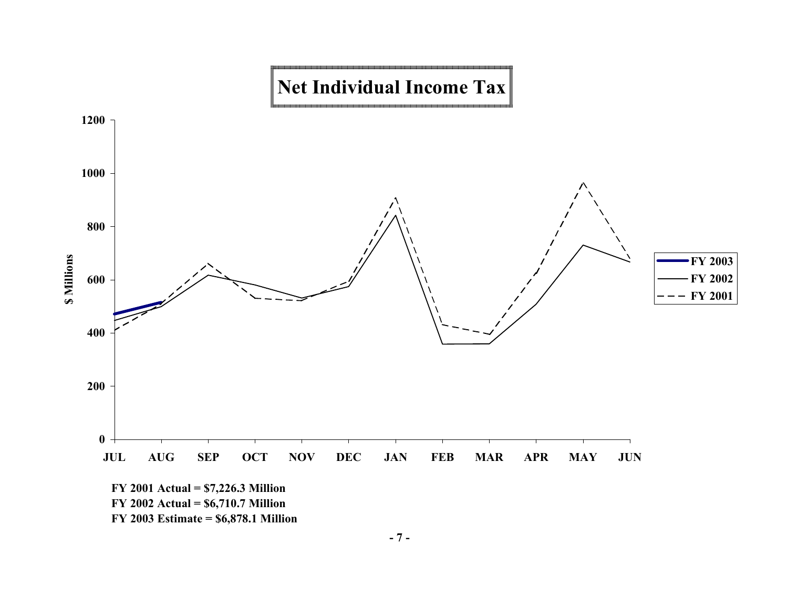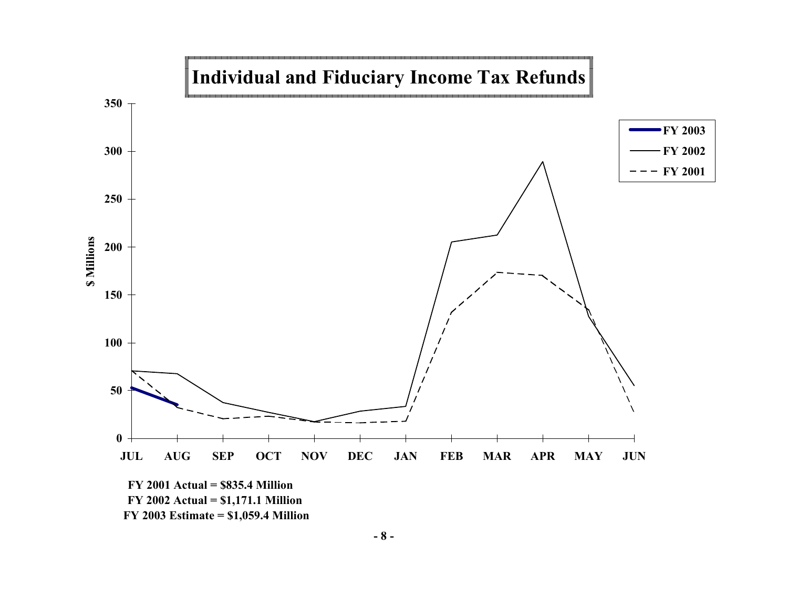

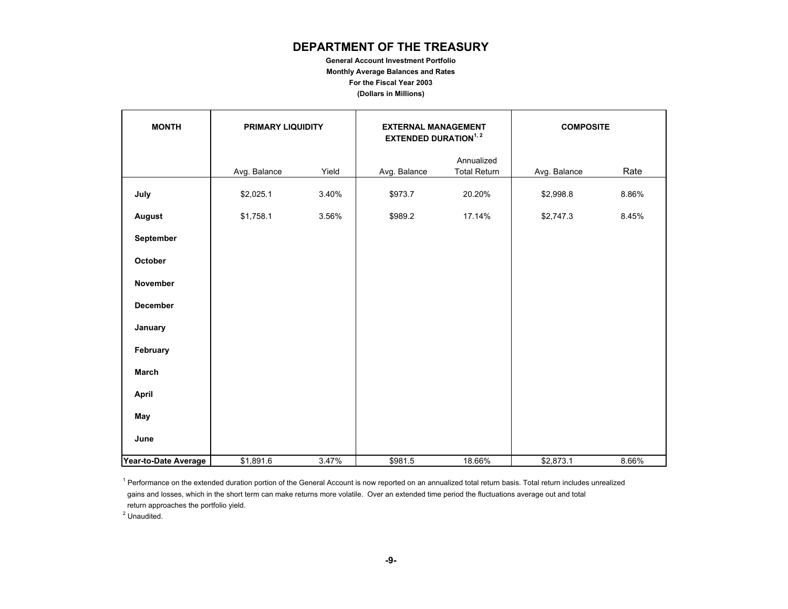## **DEPARTMENT OF THE TREASURY**

### **General Account Investment Portfolio Monthly Average Balances and Rates For the Fiscal Year 2003(Dollars in Millions)**

| <b>MONTH</b>         |              | PRIMARY LIQUIDITY<br><b>COMPOSITE</b><br><b>EXTERNAL MANAGEMENT</b><br><b>EXTENDED DURATION1, 2</b> |              |                                   |              |       |
|----------------------|--------------|-----------------------------------------------------------------------------------------------------|--------------|-----------------------------------|--------------|-------|
|                      | Avg. Balance | Yield                                                                                               | Avg. Balance | Annualized<br><b>Total Return</b> | Avg. Balance | Rate  |
| July                 | \$2,025.1    | 3.40%                                                                                               | \$973.7      | 20.20%                            | \$2,998.8    | 8.86% |
| <b>August</b>        | \$1,758.1    | 3.56%                                                                                               | \$989.2      | 17.14%                            | \$2,747.3    | 8.45% |
| September            |              |                                                                                                     |              |                                   |              |       |
| October              |              |                                                                                                     |              |                                   |              |       |
| November             |              |                                                                                                     |              |                                   |              |       |
| December             |              |                                                                                                     |              |                                   |              |       |
| January              |              |                                                                                                     |              |                                   |              |       |
| February             |              |                                                                                                     |              |                                   |              |       |
| March                |              |                                                                                                     |              |                                   |              |       |
| <b>April</b>         |              |                                                                                                     |              |                                   |              |       |
| May                  |              |                                                                                                     |              |                                   |              |       |
| June                 |              |                                                                                                     |              |                                   |              |       |
| Year-to-Date Average | \$1,891.6    | 3.47%                                                                                               | \$981.5      | 18.66%                            | \$2,873.1    | 8.66% |

<sup>1</sup> Performance on the extended duration portion of the General Account is now reported on an annualized total return basis. Total return includes unrealized gains and losses, which in the short term can make returns more volatile. Over an extended time period the fluctuations average out and total return approaches the portfolio yield.

<sup>2</sup> Unaudited.